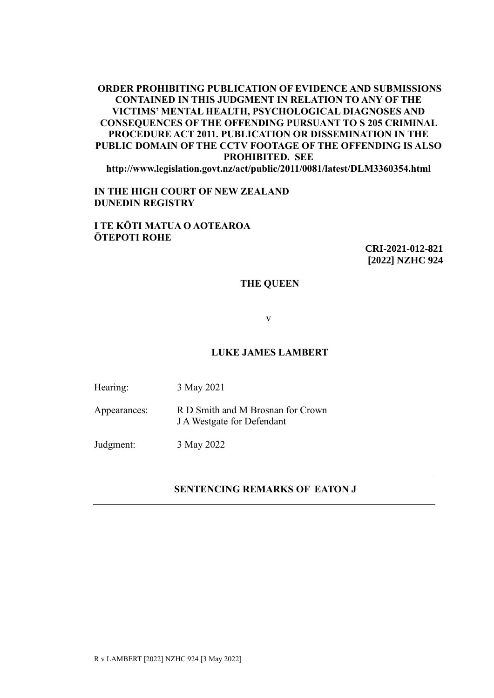# **ORDER PROHIBITING PUBLICATION OF EVIDENCE AND SUBMISSIONS CONTAINED IN THIS JUDGMENT IN RELATION TO ANY OF THE VICTIMS' MENTAL HEALTH, PSYCHOLOGICAL DIAGNOSES AND CONSEQUENCES OF THE OFFENDING PURSUANT TO S 205 CRIMINAL PROCEDURE ACT 2011. PUBLICATION OR DISSEMINATION IN THE PUBLIC DOMAIN OF THE CCTV FOOTAGE OF THE OFFENDING IS ALSO PROHIBITED. SEE**

**http://www.legislation.govt.nz/act/public/2011/0081/latest/DLM3360354.html**

### **IN THE HIGH COURT OF NEW ZEALAND DUNEDIN REGISTRY**

# **I TE KŌTI MATUA O AOTEAROA ŌTEPOTI ROHE**

**CRI-2021-012-821 [2022] NZHC 924**

#### **THE QUEEN**

v

### **LUKE JAMES LAMBERT**

Hearing: 3 May 2021

Appearances: R D Smith and M Brosnan for Crown J A Westgate for Defendant

Judgment: 3 May 2022

### **SENTENCING REMARKS OF EATON J**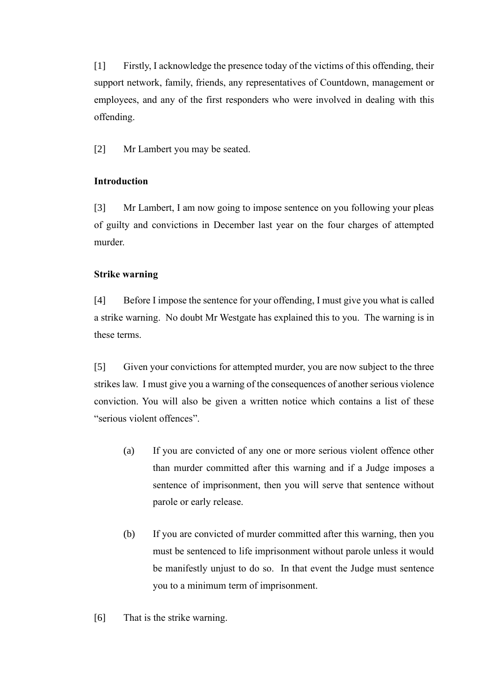[1] Firstly, I acknowledge the presence today of the victims of this offending, their support network, family, friends, any representatives of Countdown, management or employees, and any of the first responders who were involved in dealing with this offending.

[2] Mr Lambert you may be seated.

# **Introduction**

[3] Mr Lambert, I am now going to impose sentence on you following your pleas of guilty and convictions in December last year on the four charges of attempted murder.

# **Strike warning**

[4] Before I impose the sentence for your offending, I must give you what is called a strike warning. No doubt Mr Westgate has explained this to you. The warning is in these terms.

[5] Given your convictions for attempted murder, you are now subject to the three strikes law. I must give you a warning of the consequences of another serious violence conviction. You will also be given a written notice which contains a list of these "serious violent offences".

- (a) If you are convicted of any one or more serious violent offence other than murder committed after this warning and if a Judge imposes a sentence of imprisonment, then you will serve that sentence without parole or early release.
- (b) If you are convicted of murder committed after this warning, then you must be sentenced to life imprisonment without parole unless it would be manifestly unjust to do so. In that event the Judge must sentence you to a minimum term of imprisonment.
- [6] That is the strike warning.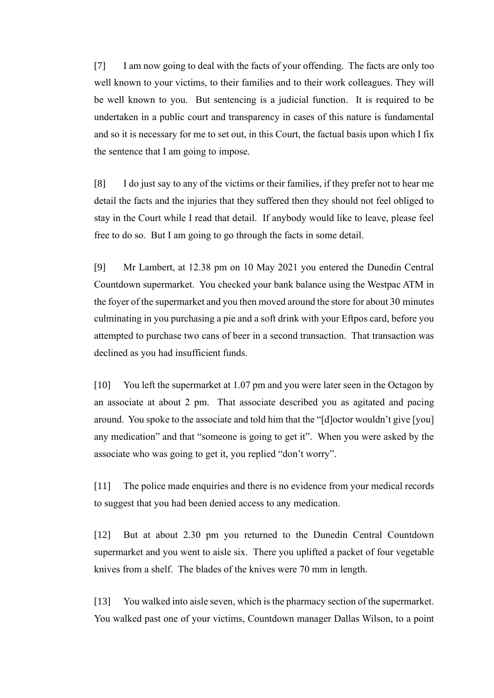[7] I am now going to deal with the facts of your offending. The facts are only too well known to your victims, to their families and to their work colleagues. They will be well known to you. But sentencing is a judicial function. It is required to be undertaken in a public court and transparency in cases of this nature is fundamental and so it is necessary for me to set out, in this Court, the factual basis upon which I fix the sentence that I am going to impose.

[8] I do just say to any of the victims or their families, if they prefer not to hear me detail the facts and the injuries that they suffered then they should not feel obliged to stay in the Court while I read that detail. If anybody would like to leave, please feel free to do so. But I am going to go through the facts in some detail.

[9] Mr Lambert, at 12.38 pm on 10 May 2021 you entered the Dunedin Central Countdown supermarket. You checked your bank balance using the Westpac ATM in the foyer of the supermarket and you then moved around the store for about 30 minutes culminating in you purchasing a pie and a soft drink with your Eftpos card, before you attempted to purchase two cans of beer in a second transaction. That transaction was declined as you had insufficient funds.

[10] You left the supermarket at 1.07 pm and you were later seen in the Octagon by an associate at about 2 pm. That associate described you as agitated and pacing around. You spoke to the associate and told him that the "[d]octor wouldn't give [you] any medication" and that "someone is going to get it". When you were asked by the associate who was going to get it, you replied "don't worry".

[11] The police made enquiries and there is no evidence from your medical records to suggest that you had been denied access to any medication.

[12] But at about 2.30 pm you returned to the Dunedin Central Countdown supermarket and you went to aisle six. There you uplifted a packet of four vegetable knives from a shelf. The blades of the knives were 70 mm in length.

[13] You walked into aisle seven, which is the pharmacy section of the supermarket. You walked past one of your victims, Countdown manager Dallas Wilson, to a point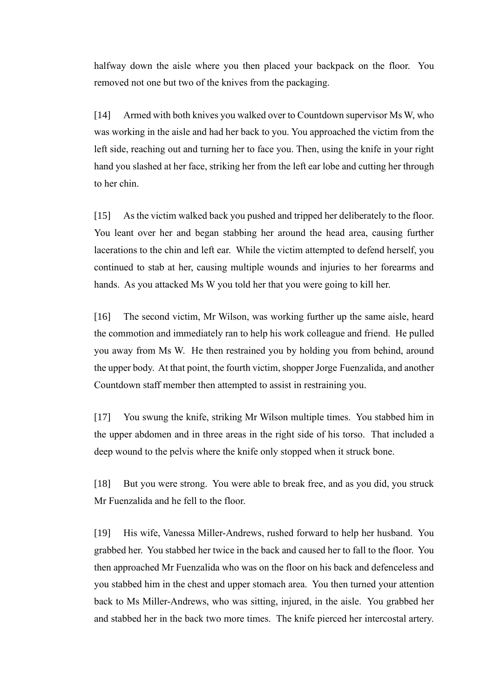halfway down the aisle where you then placed your backpack on the floor. You removed not one but two of the knives from the packaging.

[14] Armed with both knives you walked over to Countdown supervisor Ms W, who was working in the aisle and had her back to you. You approached the victim from the left side, reaching out and turning her to face you. Then, using the knife in your right hand you slashed at her face, striking her from the left ear lobe and cutting her through to her chin.

[15] As the victim walked back you pushed and tripped her deliberately to the floor. You leant over her and began stabbing her around the head area, causing further lacerations to the chin and left ear. While the victim attempted to defend herself, you continued to stab at her, causing multiple wounds and injuries to her forearms and hands. As you attacked Ms W you told her that you were going to kill her.

[16] The second victim, Mr Wilson, was working further up the same aisle, heard the commotion and immediately ran to help his work colleague and friend. He pulled you away from Ms W. He then restrained you by holding you from behind, around the upper body. At that point, the fourth victim, shopper Jorge Fuenzalida, and another Countdown staff member then attempted to assist in restraining you.

[17] You swung the knife, striking Mr Wilson multiple times. You stabbed him in the upper abdomen and in three areas in the right side of his torso. That included a deep wound to the pelvis where the knife only stopped when it struck bone.

[18] But you were strong. You were able to break free, and as you did, you struck Mr Fuenzalida and he fell to the floor.

[19] His wife, Vanessa Miller-Andrews, rushed forward to help her husband. You grabbed her. You stabbed her twice in the back and caused her to fall to the floor. You then approached Mr Fuenzalida who was on the floor on his back and defenceless and you stabbed him in the chest and upper stomach area. You then turned your attention back to Ms Miller-Andrews, who was sitting, injured, in the aisle. You grabbed her and stabbed her in the back two more times. The knife pierced her intercostal artery.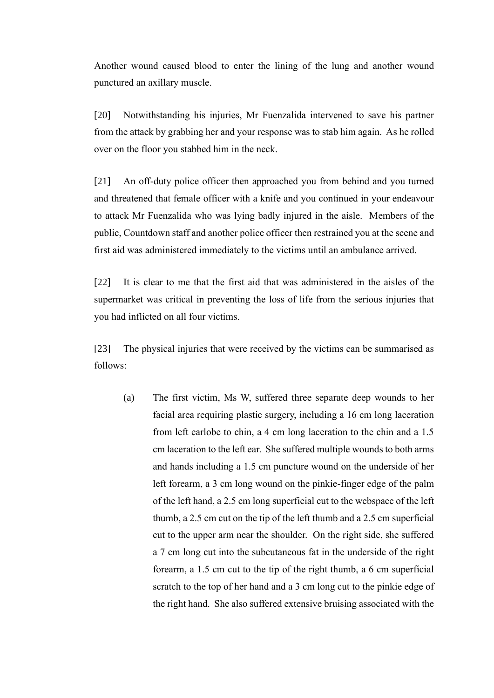Another wound caused blood to enter the lining of the lung and another wound punctured an axillary muscle.

[20] Notwithstanding his injuries, Mr Fuenzalida intervened to save his partner from the attack by grabbing her and your response was to stab him again. As he rolled over on the floor you stabbed him in the neck.

[21] An off-duty police officer then approached you from behind and you turned and threatened that female officer with a knife and you continued in your endeavour to attack Mr Fuenzalida who was lying badly injured in the aisle. Members of the public, Countdown staff and another police officer then restrained you at the scene and first aid was administered immediately to the victims until an ambulance arrived.

[22] It is clear to me that the first aid that was administered in the aisles of the supermarket was critical in preventing the loss of life from the serious injuries that you had inflicted on all four victims.

[23] The physical injuries that were received by the victims can be summarised as follows:

(a) The first victim, Ms W, suffered three separate deep wounds to her facial area requiring plastic surgery, including a 16 cm long laceration from left earlobe to chin, a 4 cm long laceration to the chin and a 1.5 cm laceration to the left ear. She suffered multiple wounds to both arms and hands including a 1.5 cm puncture wound on the underside of her left forearm, a 3 cm long wound on the pinkie-finger edge of the palm of the left hand, a 2.5 cm long superficial cut to the webspace of the left thumb, a 2.5 cm cut on the tip of the left thumb and a 2.5 cm superficial cut to the upper arm near the shoulder. On the right side, she suffered a 7 cm long cut into the subcutaneous fat in the underside of the right forearm, a 1.5 cm cut to the tip of the right thumb, a 6 cm superficial scratch to the top of her hand and a 3 cm long cut to the pinkie edge of the right hand. She also suffered extensive bruising associated with the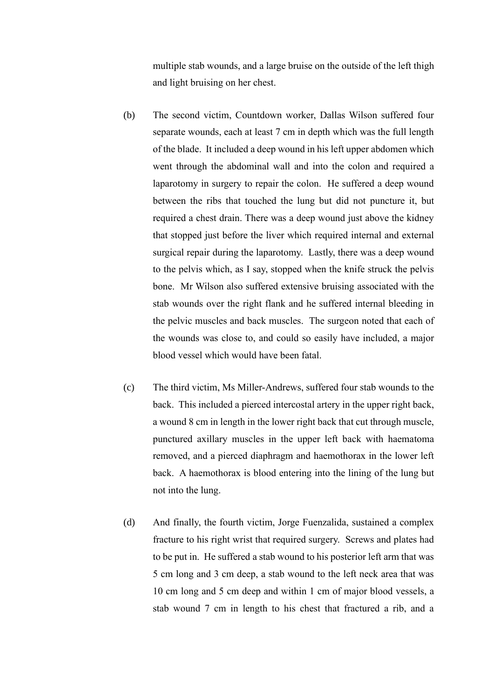multiple stab wounds, and a large bruise on the outside of the left thigh and light bruising on her chest.

- (b) The second victim, Countdown worker, Dallas Wilson suffered four separate wounds, each at least 7 cm in depth which was the full length of the blade. It included a deep wound in his left upper abdomen which went through the abdominal wall and into the colon and required a laparotomy in surgery to repair the colon. He suffered a deep wound between the ribs that touched the lung but did not puncture it, but required a chest drain. There was a deep wound just above the kidney that stopped just before the liver which required internal and external surgical repair during the laparotomy. Lastly, there was a deep wound to the pelvis which, as I say, stopped when the knife struck the pelvis bone. Mr Wilson also suffered extensive bruising associated with the stab wounds over the right flank and he suffered internal bleeding in the pelvic muscles and back muscles. The surgeon noted that each of the wounds was close to, and could so easily have included, a major blood vessel which would have been fatal.
- (c) The third victim, Ms Miller-Andrews, suffered four stab wounds to the back. This included a pierced intercostal artery in the upper right back, a wound 8 cm in length in the lower right back that cut through muscle, punctured axillary muscles in the upper left back with haematoma removed, and a pierced diaphragm and haemothorax in the lower left back. A haemothorax is blood entering into the lining of the lung but not into the lung.
- (d) And finally, the fourth victim, Jorge Fuenzalida, sustained a complex fracture to his right wrist that required surgery. Screws and plates had to be put in. He suffered a stab wound to his posterior left arm that was 5 cm long and 3 cm deep, a stab wound to the left neck area that was 10 cm long and 5 cm deep and within 1 cm of major blood vessels, a stab wound 7 cm in length to his chest that fractured a rib, and a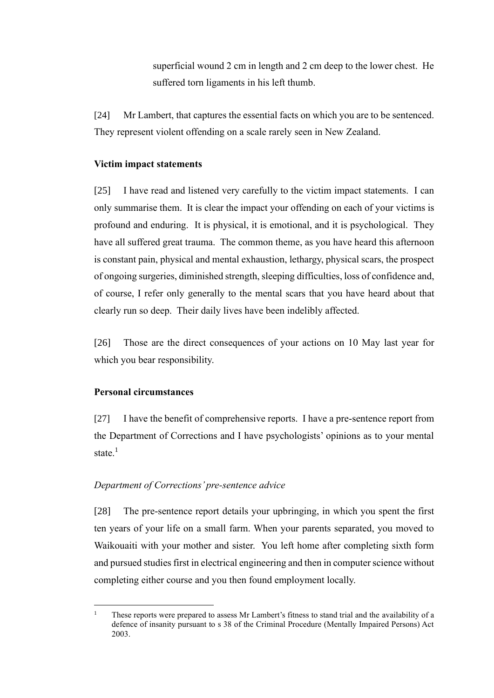superficial wound 2 cm in length and 2 cm deep to the lower chest. He suffered torn ligaments in his left thumb.

[24] Mr Lambert, that captures the essential facts on which you are to be sentenced. They represent violent offending on a scale rarely seen in New Zealand.

#### **Victim impact statements**

[25] I have read and listened very carefully to the victim impact statements. I can only summarise them. It is clear the impact your offending on each of your victims is profound and enduring. It is physical, it is emotional, and it is psychological. They have all suffered great trauma. The common theme, as you have heard this afternoon is constant pain, physical and mental exhaustion, lethargy, physical scars, the prospect of ongoing surgeries, diminished strength, sleeping difficulties, loss of confidence and, of course, I refer only generally to the mental scars that you have heard about that clearly run so deep. Their daily lives have been indelibly affected.

[26] Those are the direct consequences of your actions on 10 May last year for which you bear responsibility.

#### **Personal circumstances**

[27] I have the benefit of comprehensive reports. I have a pre-sentence report from the Department of Corrections and I have psychologists' opinions as to your mental state. $<sup>1</sup>$ </sup>

#### *Department of Corrections' pre-sentence advice*

[28] The pre-sentence report details your upbringing, in which you spent the first ten years of your life on a small farm. When your parents separated, you moved to Waikouaiti with your mother and sister. You left home after completing sixth form and pursued studies first in electrical engineering and then in computer science without completing either course and you then found employment locally.

<sup>1</sup> These reports were prepared to assess Mr Lambert's fitness to stand trial and the availability of a defence of insanity pursuant to s 38 of the Criminal Procedure (Mentally Impaired Persons) Act 2003.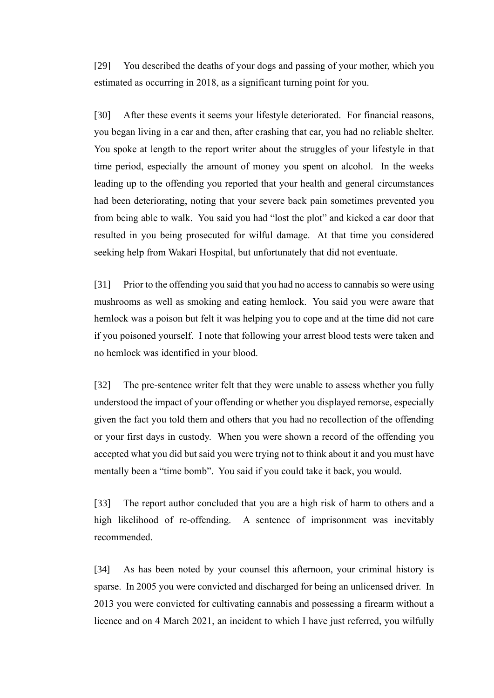[29] You described the deaths of your dogs and passing of your mother, which you estimated as occurring in 2018, as a significant turning point for you.

[30] After these events it seems your lifestyle deteriorated. For financial reasons, you began living in a car and then, after crashing that car, you had no reliable shelter. You spoke at length to the report writer about the struggles of your lifestyle in that time period, especially the amount of money you spent on alcohol. In the weeks leading up to the offending you reported that your health and general circumstances had been deteriorating, noting that your severe back pain sometimes prevented you from being able to walk. You said you had "lost the plot" and kicked a car door that resulted in you being prosecuted for wilful damage. At that time you considered seeking help from Wakari Hospital, but unfortunately that did not eventuate.

[31] Prior to the offending you said that you had no access to cannabis so were using mushrooms as well as smoking and eating hemlock. You said you were aware that hemlock was a poison but felt it was helping you to cope and at the time did not care if you poisoned yourself. I note that following your arrest blood tests were taken and no hemlock was identified in your blood.

[32] The pre-sentence writer felt that they were unable to assess whether you fully understood the impact of your offending or whether you displayed remorse, especially given the fact you told them and others that you had no recollection of the offending or your first days in custody. When you were shown a record of the offending you accepted what you did but said you were trying not to think about it and you must have mentally been a "time bomb". You said if you could take it back, you would.

[33] The report author concluded that you are a high risk of harm to others and a high likelihood of re-offending. A sentence of imprisonment was inevitably recommended.

[34] As has been noted by your counsel this afternoon, your criminal history is sparse. In 2005 you were convicted and discharged for being an unlicensed driver. In 2013 you were convicted for cultivating cannabis and possessing a firearm without a licence and on 4 March 2021, an incident to which I have just referred, you wilfully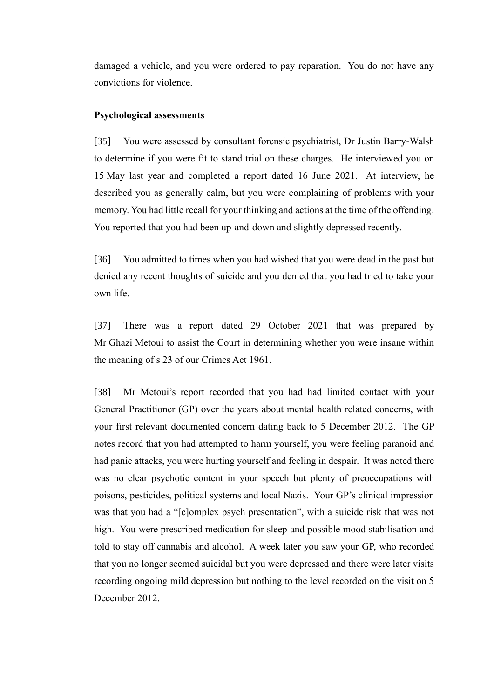damaged a vehicle, and you were ordered to pay reparation. You do not have any convictions for violence.

#### **Psychological assessments**

[35] You were assessed by consultant forensic psychiatrist, Dr Justin Barry-Walsh to determine if you were fit to stand trial on these charges. He interviewed you on 15 May last year and completed a report dated 16 June 2021. At interview, he described you as generally calm, but you were complaining of problems with your memory. You had little recall for your thinking and actions at the time of the offending. You reported that you had been up-and-down and slightly depressed recently.

[36] You admitted to times when you had wished that you were dead in the past but denied any recent thoughts of suicide and you denied that you had tried to take your own life.

[37] There was a report dated 29 October 2021 that was prepared by Mr Ghazi Metoui to assist the Court in determining whether you were insane within the meaning of s 23 of our Crimes Act 1961.

[38] Mr Metoui's report recorded that you had had limited contact with your General Practitioner (GP) over the years about mental health related concerns, with your first relevant documented concern dating back to 5 December 2012. The GP notes record that you had attempted to harm yourself, you were feeling paranoid and had panic attacks, you were hurting yourself and feeling in despair. It was noted there was no clear psychotic content in your speech but plenty of preoccupations with poisons, pesticides, political systems and local Nazis. Your GP's clinical impression was that you had a "[c]omplex psych presentation", with a suicide risk that was not high. You were prescribed medication for sleep and possible mood stabilisation and told to stay off cannabis and alcohol. A week later you saw your GP, who recorded that you no longer seemed suicidal but you were depressed and there were later visits recording ongoing mild depression but nothing to the level recorded on the visit on 5 December 2012.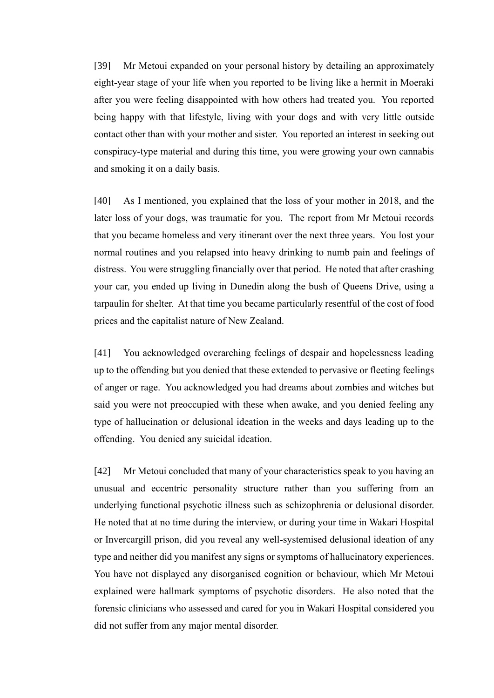[39] Mr Metoui expanded on your personal history by detailing an approximately eight-year stage of your life when you reported to be living like a hermit in Moeraki after you were feeling disappointed with how others had treated you. You reported being happy with that lifestyle, living with your dogs and with very little outside contact other than with your mother and sister. You reported an interest in seeking out conspiracy-type material and during this time, you were growing your own cannabis and smoking it on a daily basis.

[40] As I mentioned, you explained that the loss of your mother in 2018, and the later loss of your dogs, was traumatic for you. The report from Mr Metoui records that you became homeless and very itinerant over the next three years. You lost your normal routines and you relapsed into heavy drinking to numb pain and feelings of distress. You were struggling financially over that period. He noted that after crashing your car, you ended up living in Dunedin along the bush of Queens Drive, using a tarpaulin for shelter. At that time you became particularly resentful of the cost of food prices and the capitalist nature of New Zealand.

[41] You acknowledged overarching feelings of despair and hopelessness leading up to the offending but you denied that these extended to pervasive or fleeting feelings of anger or rage. You acknowledged you had dreams about zombies and witches but said you were not preoccupied with these when awake, and you denied feeling any type of hallucination or delusional ideation in the weeks and days leading up to the offending. You denied any suicidal ideation.

[42] Mr Metoui concluded that many of your characteristics speak to you having an unusual and eccentric personality structure rather than you suffering from an underlying functional psychotic illness such as schizophrenia or delusional disorder. He noted that at no time during the interview, or during your time in Wakari Hospital or Invercargill prison, did you reveal any well-systemised delusional ideation of any type and neither did you manifest any signs or symptoms of hallucinatory experiences. You have not displayed any disorganised cognition or behaviour, which Mr Metoui explained were hallmark symptoms of psychotic disorders. He also noted that the forensic clinicians who assessed and cared for you in Wakari Hospital considered you did not suffer from any major mental disorder.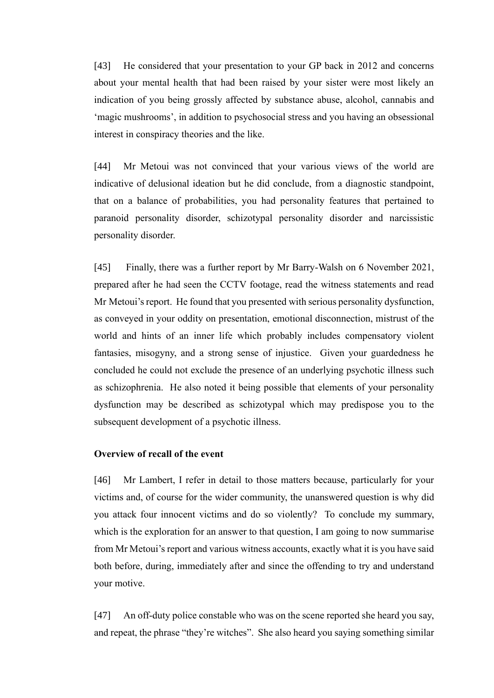[43] He considered that your presentation to your GP back in 2012 and concerns about your mental health that had been raised by your sister were most likely an indication of you being grossly affected by substance abuse, alcohol, cannabis and 'magic mushrooms', in addition to psychosocial stress and you having an obsessional interest in conspiracy theories and the like.

[44] Mr Metoui was not convinced that your various views of the world are indicative of delusional ideation but he did conclude, from a diagnostic standpoint, that on a balance of probabilities, you had personality features that pertained to paranoid personality disorder, schizotypal personality disorder and narcissistic personality disorder.

[45] Finally, there was a further report by Mr Barry-Walsh on 6 November 2021, prepared after he had seen the CCTV footage, read the witness statements and read Mr Metoui's report. He found that you presented with serious personality dysfunction, as conveyed in your oddity on presentation, emotional disconnection, mistrust of the world and hints of an inner life which probably includes compensatory violent fantasies, misogyny, and a strong sense of injustice. Given your guardedness he concluded he could not exclude the presence of an underlying psychotic illness such as schizophrenia. He also noted it being possible that elements of your personality dysfunction may be described as schizotypal which may predispose you to the subsequent development of a psychotic illness.

#### **Overview of recall of the event**

[46] Mr Lambert, I refer in detail to those matters because, particularly for your victims and, of course for the wider community, the unanswered question is why did you attack four innocent victims and do so violently? To conclude my summary, which is the exploration for an answer to that question, I am going to now summarise from Mr Metoui's report and various witness accounts, exactly what it is you have said both before, during, immediately after and since the offending to try and understand your motive.

[47] An off-duty police constable who was on the scene reported she heard you say, and repeat, the phrase "they're witches". She also heard you saying something similar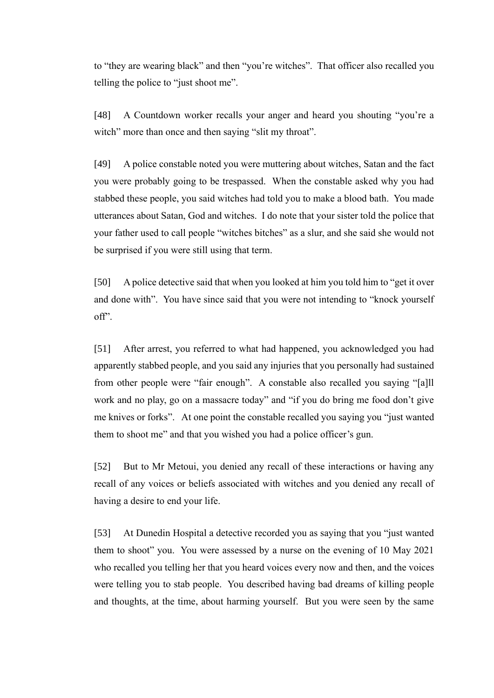to "they are wearing black" and then "you're witches". That officer also recalled you telling the police to "just shoot me".

[48] A Countdown worker recalls your anger and heard you shouting "you're a witch" more than once and then saying "slit my throat".

[49] A police constable noted you were muttering about witches, Satan and the fact you were probably going to be trespassed. When the constable asked why you had stabbed these people, you said witches had told you to make a blood bath. You made utterances about Satan, God and witches. I do note that your sister told the police that your father used to call people "witches bitches" as a slur, and she said she would not be surprised if you were still using that term.

[50] A police detective said that when you looked at him you told him to "get it over and done with". You have since said that you were not intending to "knock yourself off".

[51] After arrest, you referred to what had happened, you acknowledged you had apparently stabbed people, and you said any injuries that you personally had sustained from other people were "fair enough". A constable also recalled you saying "[a]ll work and no play, go on a massacre today" and "if you do bring me food don't give me knives or forks". At one point the constable recalled you saying you "just wanted them to shoot me" and that you wished you had a police officer's gun.

[52] But to Mr Metoui, you denied any recall of these interactions or having any recall of any voices or beliefs associated with witches and you denied any recall of having a desire to end your life.

[53] At Dunedin Hospital a detective recorded you as saying that you "just wanted them to shoot" you. You were assessed by a nurse on the evening of 10 May 2021 who recalled you telling her that you heard voices every now and then, and the voices were telling you to stab people. You described having bad dreams of killing people and thoughts, at the time, about harming yourself. But you were seen by the same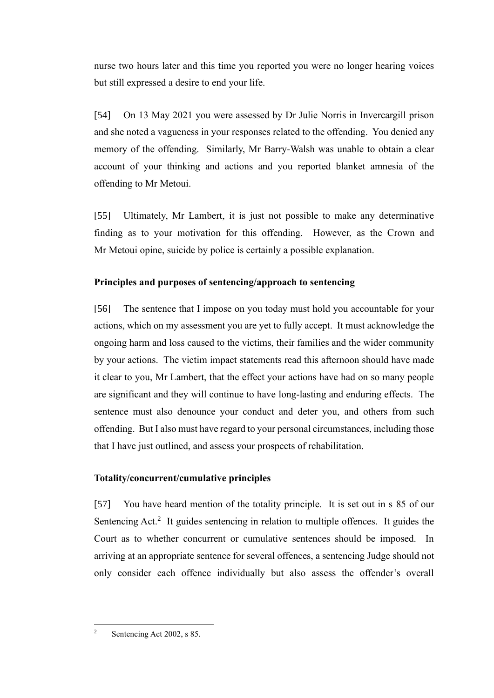nurse two hours later and this time you reported you were no longer hearing voices but still expressed a desire to end your life.

[54] On 13 May 2021 you were assessed by Dr Julie Norris in Invercargill prison and she noted a vagueness in your responses related to the offending. You denied any memory of the offending. Similarly, Mr Barry-Walsh was unable to obtain a clear account of your thinking and actions and you reported blanket amnesia of the offending to Mr Metoui.

[55] Ultimately, Mr Lambert, it is just not possible to make any determinative finding as to your motivation for this offending. However, as the Crown and Mr Metoui opine, suicide by police is certainly a possible explanation.

# **Principles and purposes of sentencing/approach to sentencing**

[56] The sentence that I impose on you today must hold you accountable for your actions, which on my assessment you are yet to fully accept. It must acknowledge the ongoing harm and loss caused to the victims, their families and the wider community by your actions. The victim impact statements read this afternoon should have made it clear to you, Mr Lambert, that the effect your actions have had on so many people are significant and they will continue to have long-lasting and enduring effects. The sentence must also denounce your conduct and deter you, and others from such offending. But I also must have regard to your personal circumstances, including those that I have just outlined, and assess your prospects of rehabilitation.

# **Totality/concurrent/cumulative principles**

[57] You have heard mention of the totality principle. It is set out in s 85 of our Sentencing  $Act.^2$  It guides sentencing in relation to multiple offences. It guides the Court as to whether concurrent or cumulative sentences should be imposed. In arriving at an appropriate sentence for several offences, a sentencing Judge should not only consider each offence individually but also assess the offender's overall

<sup>&</sup>lt;sup>2</sup> Sentencing Act 2002, s 85.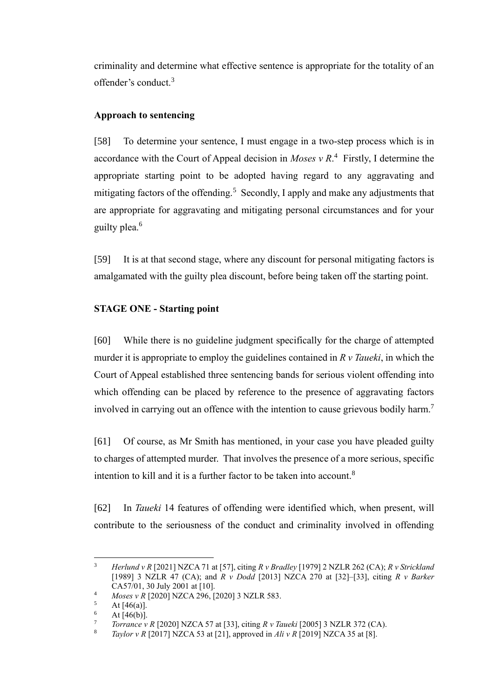criminality and determine what effective sentence is appropriate for the totality of an offender's conduct.<sup>3</sup>

# **Approach to sentencing**

[58] To determine your sentence, I must engage in a two-step process which is in accordance with the Court of Appeal decision in *Moses*  $v R<sup>4</sup>$  Firstly, I determine the appropriate starting point to be adopted having regard to any aggravating and mitigating factors of the offending.<sup>5</sup> Secondly, I apply and make any adjustments that are appropriate for aggravating and mitigating personal circumstances and for your guilty plea.<sup>6</sup>

[59] It is at that second stage, where any discount for personal mitigating factors is amalgamated with the guilty plea discount, before being taken off the starting point.

# **STAGE ONE - Starting point**

[60] While there is no guideline judgment specifically for the charge of attempted murder it is appropriate to employ the guidelines contained in *R v Taueki*, in which the Court of Appeal established three sentencing bands for serious violent offending into which offending can be placed by reference to the presence of aggravating factors involved in carrying out an offence with the intention to cause grievous bodily harm.<sup>7</sup>

<span id="page-13-0"></span>[61] Of course, as Mr Smith has mentioned, in your case you have pleaded guilty to charges of attempted murder. That involves the presence of a more serious, specific intention to kill and it is a further factor to be taken into account.<sup>8</sup>

[62] In *Taueki* 14 features of offending were identified which, when present, will contribute to the seriousness of the conduct and criminality involved in offending

<sup>3</sup> *Herlund v R* [2021] NZCA 71 at [57], citing *R v Bradley* [1979] 2 NZLR 262 (CA); *R v Strickland*  [1989] 3 NZLR 47 (CA); and *R v Dodd* [2013] NZCA 270 at [32]–[33], citing *R v Barker* CA57/01, 30 July 2001 at [10].

<sup>4</sup> *Moses v R* [2020] NZCA 296, [2020] 3 NZLR 583.

At  $[46(a)]$ .

 $\frac{6}{7}$  At [46(b)].

<sup>&</sup>lt;sup>7</sup> *Torrance v R* [2020] NZCA 57 at [33], citing *R v Taueki* [2005] 3 NZLR 372 (CA).

<sup>8</sup> *Taylor v R* [2017] NZCA 53 at [21], approved in *Ali v R* [2019] NZCA 35 at [8].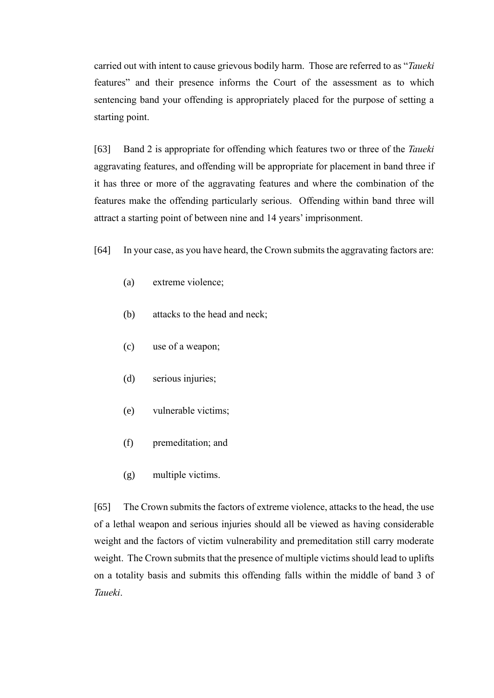carried out with intent to cause grievous bodily harm. Those are referred to as "*Taueki* features" and their presence informs the Court of the assessment as to which sentencing band your offending is appropriately placed for the purpose of setting a starting point.

[63] Band 2 is appropriate for offending which features two or three of the *Taueki* aggravating features, and offending will be appropriate for placement in band three if it has three or more of the aggravating features and where the combination of the features make the offending particularly serious. Offending within band three will attract a starting point of between nine and 14 years' imprisonment.

- [64] In your case, as you have heard, the Crown submits the aggravating factors are:
	- (a) extreme violence;
	- (b) attacks to the head and neck;
	- (c) use of a weapon;
	- (d) serious injuries;
	- (e) vulnerable victims;
	- (f) premeditation; and
	- (g) multiple victims.

[65] The Crown submits the factors of extreme violence, attacks to the head, the use of a lethal weapon and serious injuries should all be viewed as having considerable weight and the factors of victim vulnerability and premeditation still carry moderate weight. The Crown submits that the presence of multiple victims should lead to uplifts on a totality basis and submits this offending falls within the middle of band 3 of *Taueki*.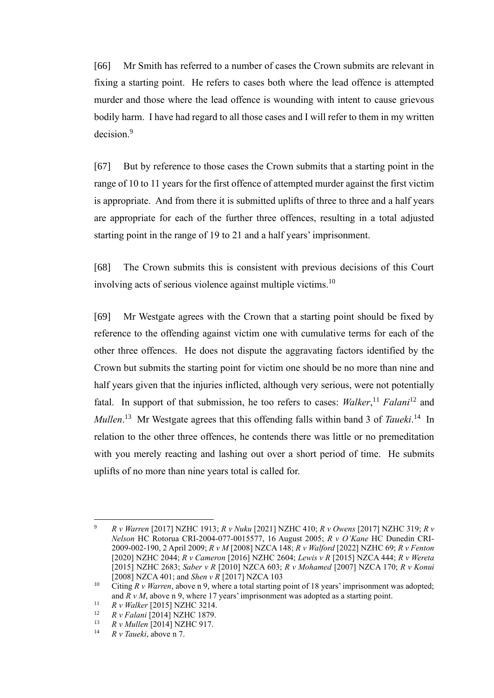[66] Mr Smith has referred to a number of cases the Crown submits are relevant in fixing a starting point. He refers to cases both where the lead offence is attempted murder and those where the lead offence is wounding with intent to cause grievous bodily harm. I have had regard to all those cases and I will refer to them in my written decision<sup>9</sup>

<span id="page-15-0"></span>[67] But by reference to those cases the Crown submits that a starting point in the range of 10 to 11 years for the first offence of attempted murder against the first victim is appropriate. And from there it is submitted uplifts of three to three and a half years are appropriate for each of the further three offences, resulting in a total adjusted starting point in the range of 19 to 21 and a half years' imprisonment.

[68] The Crown submits this is consistent with previous decisions of this Court involving acts of serious violence against multiple victims.<sup>10</sup>

<span id="page-15-1"></span>[69] Mr Westgate agrees with the Crown that a starting point should be fixed by reference to the offending against victim one with cumulative terms for each of the other three offences. He does not dispute the aggravating factors identified by the Crown but submits the starting point for victim one should be no more than nine and half years given that the injuries inflicted, although very serious, were not potentially fatal. In support of that submission, he too refers to cases: *Walker*, <sup>11</sup> *Falani*<sup>12</sup> and Mullen.<sup>13</sup> Mr Westgate agrees that this offending falls within band 3 of *Taueki*.<sup>14</sup> In relation to the other three offences, he contends there was little or no premeditation with you merely reacting and lashing out over a short period of time. He submits uplifts of no more than nine years total is called for.

<sup>9</sup> *R v Warren* [2017] NZHC 1913; *R v Nuku* [2021] NZHC 410; *R v Owens* [2017] NZHC 319; *R v Nelson* HC Rotorua CRI-2004-077-0015577, 16 August 2005; *R v O'Kane* HC Dunedin CRI-2009-002-190, 2 April 2009; *R v M* [2008] NZCA 148; *R v Walford* [2022] NZHC 69; *R v Fenton*  [2020] NZHC 2044; *R v Cameron* [2016] NZHC 2604; *Lewis v R* [2015] NZCA 444; *R v Wereta*  [2015] NZHC 2683; *Saber v R* [2010] NZCA 603; *R v Mohamed* [2007] NZCA 170; *R v Konui*  [2008] NZCA 401; and *Shen v R* [2017] NZCA 103

<sup>&</sup>lt;sup>10</sup> Citing *R v Warren*, above n [9,](#page-15-0) where a total starting point of 18 years' imprisonment was adopted; and *R v M*, above n [9,](#page-15-0) where 17 years' imprisonment was adopted as a starting point.

<sup>11</sup> *R v Walker* [2015] NZHC 3214.

<sup>&</sup>lt;sup>12</sup> *R v Falani* [2014] NZHC 1879.

<sup>13</sup> *R v Mullen* [2014] NZHC 917.

<sup>14</sup> *R v Taueki*, above n [7.](#page-13-0)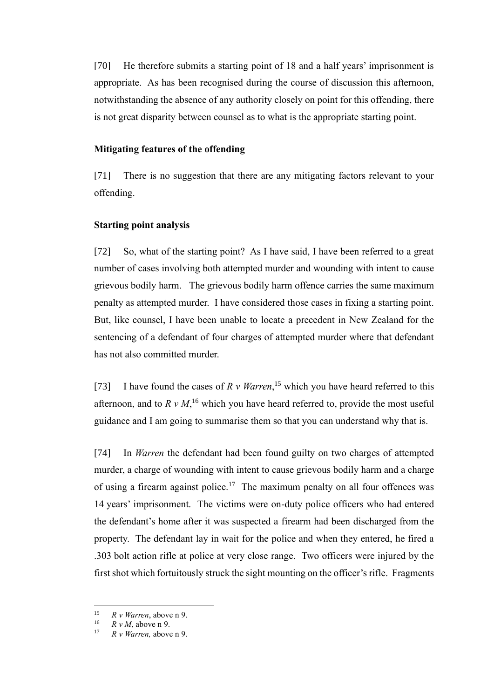[70] He therefore submits a starting point of 18 and a half years' imprisonment is appropriate. As has been recognised during the course of discussion this afternoon, notwithstanding the absence of any authority closely on point for this offending, there is not great disparity between counsel as to what is the appropriate starting point.

#### **Mitigating features of the offending**

[71] There is no suggestion that there are any mitigating factors relevant to your offending.

#### **Starting point analysis**

[72] So, what of the starting point? As I have said, I have been referred to a great number of cases involving both attempted murder and wounding with intent to cause grievous bodily harm. The grievous bodily harm offence carries the same maximum penalty as attempted murder. I have considered those cases in fixing a starting point. But, like counsel, I have been unable to locate a precedent in New Zealand for the sentencing of a defendant of four charges of attempted murder where that defendant has not also committed murder.

[73] I have found the cases of *R v Warren*<sup>15</sup> which you have heard referred to this afternoon, and to  $R v M$ ,<sup>16</sup> which you have heard referred to, provide the most useful guidance and I am going to summarise them so that you can understand why that is.

[74] In *Warren* the defendant had been found guilty on two charges of attempted murder, a charge of wounding with intent to cause grievous bodily harm and a charge of using a firearm against police.<sup>17</sup> The maximum penalty on all four offences was 14 years' imprisonment. The victims were on-duty police officers who had entered the defendant's home after it was suspected a firearm had been discharged from the property. The defendant lay in wait for the police and when they entered, he fired a .303 bolt action rifle at police at very close range. Two officers were injured by the first shot which fortuitously struck the sight mounting on the officer's rifle. Fragments

<sup>&</sup>lt;sup>15</sup> *R v Warren*, above n [9.](#page-15-0)<br><sup>16</sup> *P v M* above n 9.

<sup>&</sup>lt;sup>16</sup>  $R v M$ , above n [9.](#page-15-0)

<sup>17</sup> *R v Warren,* above n [9.](#page-15-0)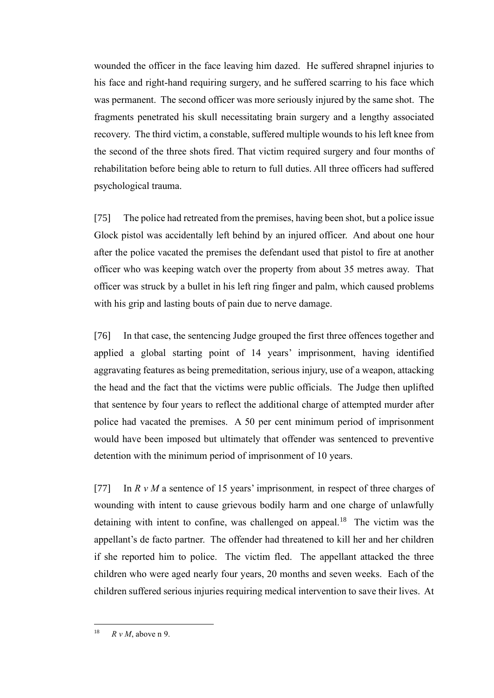wounded the officer in the face leaving him dazed. He suffered shrapnel injuries to his face and right-hand requiring surgery, and he suffered scarring to his face which was permanent. The second officer was more seriously injured by the same shot. The fragments penetrated his skull necessitating brain surgery and a lengthy associated recovery. The third victim, a constable, suffered multiple wounds to his left knee from the second of the three shots fired. That victim required surgery and four months of rehabilitation before being able to return to full duties. All three officers had suffered psychological trauma.

[75] The police had retreated from the premises, having been shot, but a police issue Glock pistol was accidentally left behind by an injured officer. And about one hour after the police vacated the premises the defendant used that pistol to fire at another officer who was keeping watch over the property from about 35 metres away. That officer was struck by a bullet in his left ring finger and palm, which caused problems with his grip and lasting bouts of pain due to nerve damage.

[76] In that case, the sentencing Judge grouped the first three offences together and applied a global starting point of 14 years' imprisonment, having identified aggravating features as being premeditation, serious injury, use of a weapon, attacking the head and the fact that the victims were public officials. The Judge then uplifted that sentence by four years to reflect the additional charge of attempted murder after police had vacated the premises. A 50 per cent minimum period of imprisonment would have been imposed but ultimately that offender was sentenced to preventive detention with the minimum period of imprisonment of 10 years.

[77] In *R v M* a sentence of 15 years' imprisonment*,* in respect of three charges of wounding with intent to cause grievous bodily harm and one charge of unlawfully detaining with intent to confine, was challenged on appeal.<sup>18</sup> The victim was the appellant's de facto partner. The offender had threatened to kill her and her children if she reported him to police. The victim fled. The appellant attacked the three children who were aged nearly four years, 20 months and seven weeks. Each of the children suffered serious injuries requiring medical intervention to save their lives. At

<sup>&</sup>lt;sup>18</sup>  $R v M$  above n [9.](#page-15-0)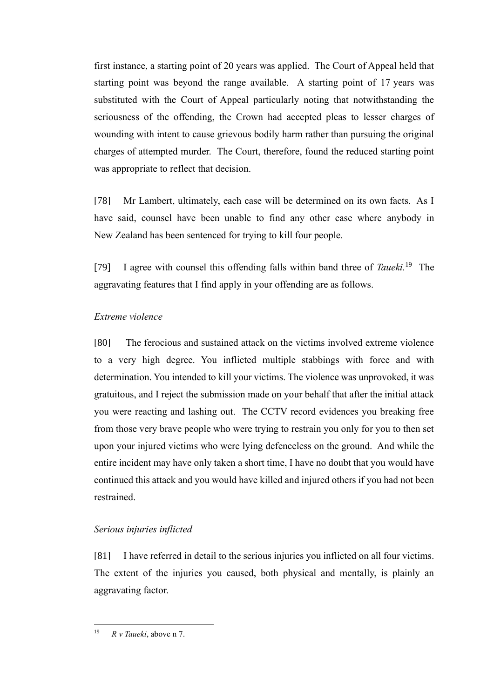first instance, a starting point of 20 years was applied. The Court of Appeal held that starting point was beyond the range available. A starting point of 17 years was substituted with the Court of Appeal particularly noting that notwithstanding the seriousness of the offending, the Crown had accepted pleas to lesser charges of wounding with intent to cause grievous bodily harm rather than pursuing the original charges of attempted murder. The Court, therefore, found the reduced starting point was appropriate to reflect that decision.

[78] Mr Lambert, ultimately, each case will be determined on its own facts. As I have said, counsel have been unable to find any other case where anybody in New Zealand has been sentenced for trying to kill four people.

[79] I agree with counsel this offending falls within band three of *Taueki*.<sup>19</sup> The aggravating features that I find apply in your offending are as follows.

#### *Extreme violence*

[80] The ferocious and sustained attack on the victims involved extreme violence to a very high degree. You inflicted multiple stabbings with force and with determination. You intended to kill your victims. The violence was unprovoked, it was gratuitous, and I reject the submission made on your behalf that after the initial attack you were reacting and lashing out. The CCTV record evidences you breaking free from those very brave people who were trying to restrain you only for you to then set upon your injured victims who were lying defenceless on the ground. And while the entire incident may have only taken a short time, I have no doubt that you would have continued this attack and you would have killed and injured others if you had not been restrained.

### *Serious injuries inflicted*

[81] I have referred in detail to the serious injuries you inflicted on all four victims. The extent of the injuries you caused, both physical and mentally, is plainly an aggravating factor.

<sup>19</sup> *R v Taueki*, above n [7.](#page-13-0)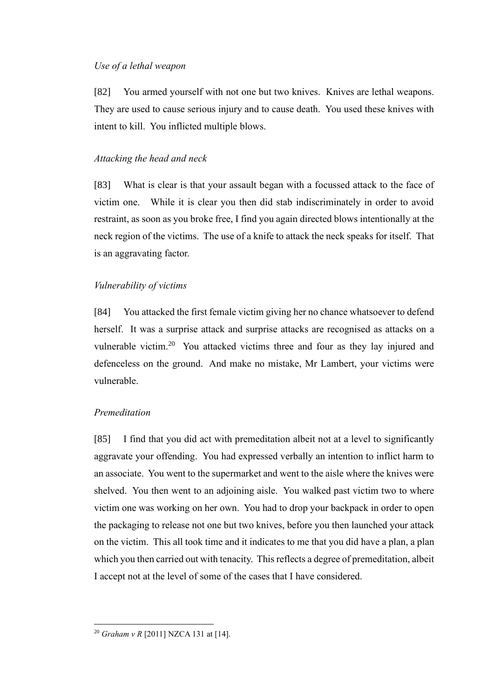#### *Use of a lethal weapon*

[82] You armed yourself with not one but two knives. Knives are lethal weapons. They are used to cause serious injury and to cause death. You used these knives with intent to kill. You inflicted multiple blows.

#### *Attacking the head and neck*

[83] What is clear is that your assault began with a focussed attack to the face of victim one. While it is clear you then did stab indiscriminately in order to avoid restraint, as soon as you broke free, I find you again directed blows intentionally at the neck region of the victims. The use of a knife to attack the neck speaks for itself. That is an aggravating factor.

#### *Vulnerability of victims*

[84] You attacked the first female victim giving her no chance whatsoever to defend herself. It was a surprise attack and surprise attacks are recognised as attacks on a vulnerable victim.<sup>20</sup> You attacked victims three and four as they lay injured and defenceless on the ground. And make no mistake, Mr Lambert, your victims were vulnerable.

# *Premeditation*

[85] I find that you did act with premeditation albeit not at a level to significantly aggravate your offending. You had expressed verbally an intention to inflict harm to an associate. You went to the supermarket and went to the aisle where the knives were shelved. You then went to an adjoining aisle. You walked past victim two to where victim one was working on her own. You had to drop your backpack in order to open the packaging to release not one but two knives, before you then launched your attack on the victim. This all took time and it indicates to me that you did have a plan, a plan which you then carried out with tenacity. This reflects a degree of premeditation, albeit I accept not at the level of some of the cases that I have considered.

<sup>20</sup> *Graham v R* [2011] NZCA 131 at [14].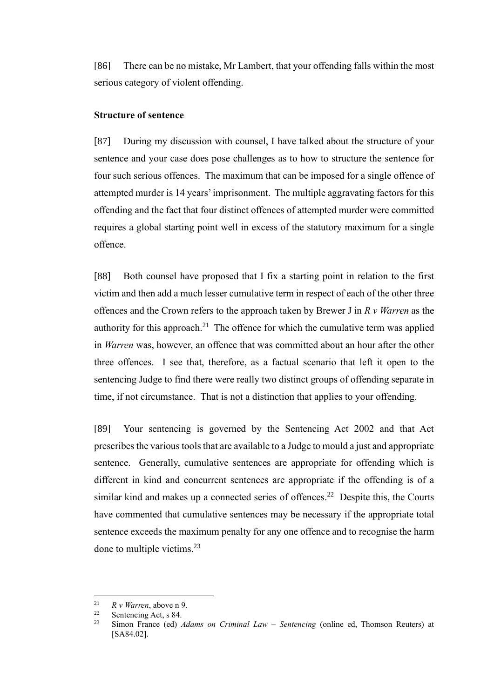[86] There can be no mistake, Mr Lambert, that your offending falls within the most serious category of violent offending.

### **Structure of sentence**

[87] During my discussion with counsel, I have talked about the structure of your sentence and your case does pose challenges as to how to structure the sentence for four such serious offences. The maximum that can be imposed for a single offence of attempted murder is 14 years' imprisonment. The multiple aggravating factors for this offending and the fact that four distinct offences of attempted murder were committed requires a global starting point well in excess of the statutory maximum for a single offence.

[88] Both counsel have proposed that I fix a starting point in relation to the first victim and then add a much lesser cumulative term in respect of each of the other three offences and the Crown refers to the approach taken by Brewer J in *R v Warren* as the authority for this approach.<sup>21</sup> The offence for which the cumulative term was applied in *Warren* was, however, an offence that was committed about an hour after the other three offences. I see that, therefore, as a factual scenario that left it open to the sentencing Judge to find there were really two distinct groups of offending separate in time, if not circumstance. That is not a distinction that applies to your offending.

[89] Your sentencing is governed by the Sentencing Act 2002 and that Act prescribes the various tools that are available to a Judge to mould a just and appropriate sentence. Generally, cumulative sentences are appropriate for offending which is different in kind and concurrent sentences are appropriate if the offending is of a similar kind and makes up a connected series of offences.<sup>22</sup> Despite this, the Courts have commented that cumulative sentences may be necessary if the appropriate total sentence exceeds the maximum penalty for any one offence and to recognise the harm done to multiple victims.<sup>23</sup>

<sup>&</sup>lt;sup>21</sup> *R v Warren*, above n [9.](#page-15-0)<br><sup>22</sup> Soptopaing Act a 84

<sup>&</sup>lt;sup>22</sup> Sentencing Act, s 84.

<sup>23</sup> Simon France (ed) *Adams on Criminal Law – Sentencing* (online ed, Thomson Reuters) at [SA84.02].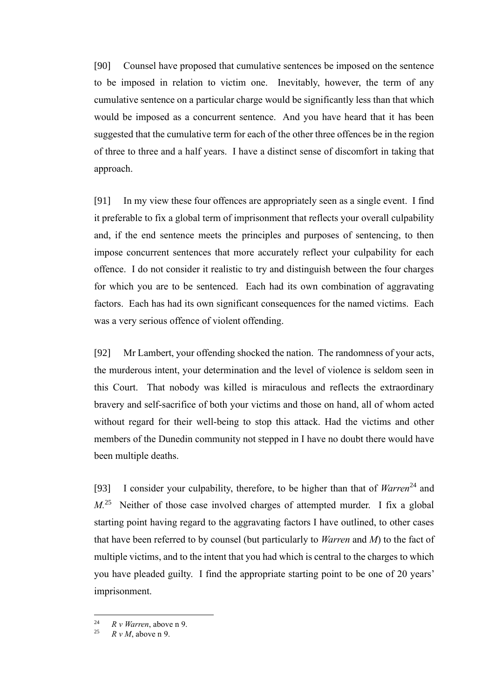[90] Counsel have proposed that cumulative sentences be imposed on the sentence to be imposed in relation to victim one. Inevitably, however, the term of any cumulative sentence on a particular charge would be significantly less than that which would be imposed as a concurrent sentence. And you have heard that it has been suggested that the cumulative term for each of the other three offences be in the region of three to three and a half years. I have a distinct sense of discomfort in taking that approach.

[91] In my view these four offences are appropriately seen as a single event. I find it preferable to fix a global term of imprisonment that reflects your overall culpability and, if the end sentence meets the principles and purposes of sentencing, to then impose concurrent sentences that more accurately reflect your culpability for each offence. I do not consider it realistic to try and distinguish between the four charges for which you are to be sentenced. Each had its own combination of aggravating factors. Each has had its own significant consequences for the named victims. Each was a very serious offence of violent offending.

[92] Mr Lambert, your offending shocked the nation. The randomness of your acts, the murderous intent, your determination and the level of violence is seldom seen in this Court. That nobody was killed is miraculous and reflects the extraordinary bravery and self-sacrifice of both your victims and those on hand, all of whom acted without regard for their well-being to stop this attack. Had the victims and other members of the Dunedin community not stepped in I have no doubt there would have been multiple deaths.

[93] I consider your culpability, therefore, to be higher than that of *Warren*<sup>24</sup> and *M*.<sup>25</sup> Neither of those case involved charges of attempted murder. I fix a global starting point having regard to the aggravating factors I have outlined, to other cases that have been referred to by counsel (but particularly to *Warren* and *M*) to the fact of multiple victims, and to the intent that you had which is central to the charges to which you have pleaded guilty. I find the appropriate starting point to be one of 20 years' imprisonment.

<sup>&</sup>lt;sup>24</sup> *R v Warren*, above n [9.](#page-15-0)<br><sup>25</sup> *P v M* above n 0.

 $R v M$ , above n [9.](#page-15-0)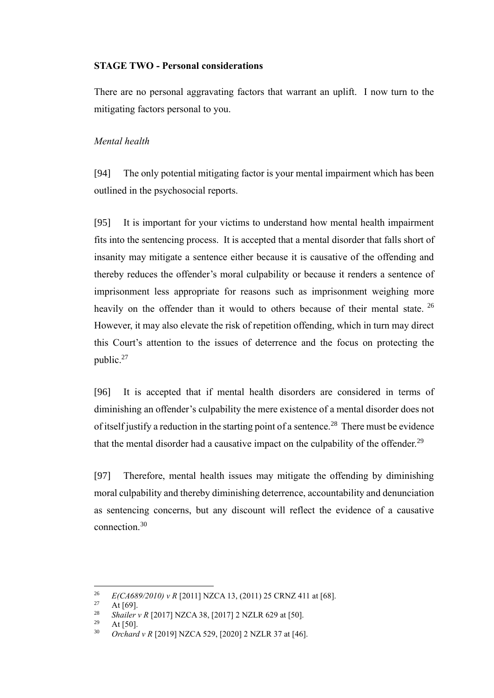### **STAGE TWO - Personal considerations**

There are no personal aggravating factors that warrant an uplift. I now turn to the mitigating factors personal to you.

### *Mental health*

[94] The only potential mitigating factor is your mental impairment which has been outlined in the psychosocial reports.

<span id="page-22-0"></span>[95] It is important for your victims to understand how mental health impairment fits into the sentencing process. It is accepted that a mental disorder that falls short of insanity may mitigate a sentence either because it is causative of the offending and thereby reduces the offender's moral culpability or because it renders a sentence of imprisonment less appropriate for reasons such as imprisonment weighing more heavily on the offender than it would to others because of their mental state. <sup>26</sup> However, it may also elevate the risk of repetition offending, which in turn may direct this Court's attention to the issues of deterrence and the focus on protecting the public.<sup>27</sup>

[96] It is accepted that if mental health disorders are considered in terms of diminishing an offender's culpability the mere existence of a mental disorder does not of itself justify a reduction in the starting point of a sentence.<sup>28</sup> There must be evidence that the mental disorder had a causative impact on the culpability of the offender.<sup>29</sup>

[97] Therefore, mental health issues may mitigate the offending by diminishing moral culpability and thereby diminishing deterrence, accountability and denunciation as sentencing concerns, but any discount will reflect the evidence of a causative connection.<sup>30</sup>

<sup>&</sup>lt;sup>26</sup> *E(CA689/2010) v R* [2011] NZCA 13, (2011) 25 CRNZ 411 at [68].

At  $[69]$ .

<sup>&</sup>lt;sup>28</sup> *Shailer v R* [2017] NZCA 38, [2017] 2 NZLR 629 at [50].

At  $[50]$ .

<sup>30</sup> *Orchard v R* [2019] NZCA 529, [2020] 2 NZLR 37 at [46].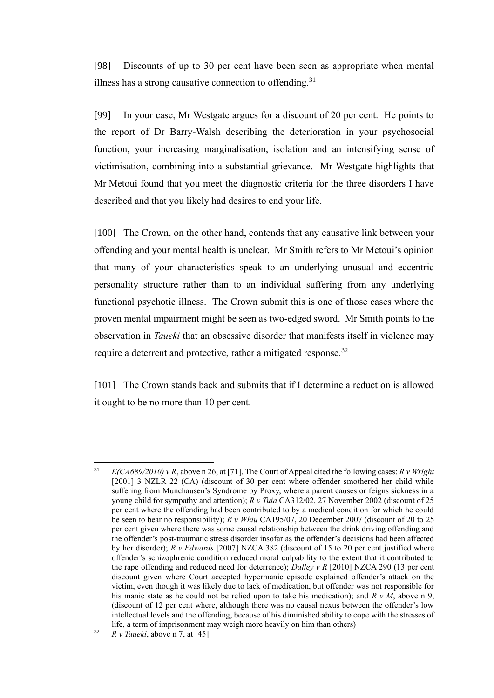<span id="page-23-0"></span>[98] Discounts of up to 30 per cent have been seen as appropriate when mental illness has a strong causative connection to offending.<sup>31</sup>

[99] In your case, Mr Westgate argues for a discount of 20 per cent. He points to the report of Dr Barry-Walsh describing the deterioration in your psychosocial function, your increasing marginalisation, isolation and an intensifying sense of victimisation, combining into a substantial grievance. Mr Westgate highlights that Mr Metoui found that you meet the diagnostic criteria for the three disorders I have described and that you likely had desires to end your life.

[100] The Crown, on the other hand, contends that any causative link between your offending and your mental health is unclear. Mr Smith refers to Mr Metoui's opinion that many of your characteristics speak to an underlying unusual and eccentric personality structure rather than to an individual suffering from any underlying functional psychotic illness. The Crown submit this is one of those cases where the proven mental impairment might be seen as two-edged sword. Mr Smith points to the observation in *Taueki* that an obsessive disorder that manifests itself in violence may require a deterrent and protective, rather a mitigated response.<sup>32</sup>

[101] The Crown stands back and submits that if I determine a reduction is allowed it ought to be no more than 10 per cent.

<sup>31</sup> *E(CA689/2010) v R*, above [n 26,](#page-22-0) at [71]. The Court of Appeal cited the following cases: *R v Wright*  [2001] 3 NZLR 22 (CA) (discount of 30 per cent where offender smothered her child while suffering from Munchausen's Syndrome by Proxy, where a parent causes or feigns sickness in a young child for sympathy and attention); *R v Tuia* CA312/02, 27 November 2002 (discount of 25 per cent where the offending had been contributed to by a medical condition for which he could be seen to bear no responsibility); *R v Whiu* CA195/07, 20 December 2007 (discount of 20 to 25 per cent given where there was some causal relationship between the drink driving offending and the offender's post-traumatic stress disorder insofar as the offender's decisions had been affected by her disorder); *R v Edwards* [2007] NZCA 382 (discount of 15 to 20 per cent justified where offender's schizophrenic condition reduced moral culpability to the extent that it contributed to the rape offending and reduced need for deterrence); *Dalley v R* [2010] NZCA 290 (13 per cent discount given where Court accepted hypermanic episode explained offender's attack on the victim, even though it was likely due to lack of medication, but offender was not responsible for his manic state as he could not be relied upon to take his medication); and *R v M*, above n [9,](#page-15-0) (discount of 12 per cent where, although there was no causal nexus between the offender's low intellectual levels and the offending, because of his diminished ability to cope with the stresses of life, a term of imprisonment may weigh more heavily on him than others)

<sup>32</sup> *R v Taueki*, above n [7,](#page-13-0) at [45].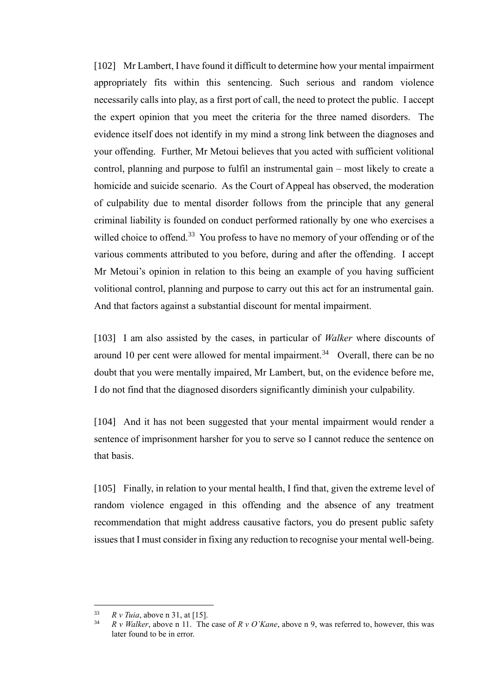[102] Mr Lambert, I have found it difficult to determine how your mental impairment appropriately fits within this sentencing. Such serious and random violence necessarily calls into play, as a first port of call, the need to protect the public. I accept the expert opinion that you meet the criteria for the three named disorders. The evidence itself does not identify in my mind a strong link between the diagnoses and your offending. Further, Mr Metoui believes that you acted with sufficient volitional control, planning and purpose to fulfil an instrumental gain – most likely to create a homicide and suicide scenario. As the Court of Appeal has observed, the moderation of culpability due to mental disorder follows from the principle that any general criminal liability is founded on conduct performed rationally by one who exercises a willed choice to offend.<sup>33</sup> You profess to have no memory of your offending or of the various comments attributed to you before, during and after the offending. I accept Mr Metoui's opinion in relation to this being an example of you having sufficient volitional control, planning and purpose to carry out this act for an instrumental gain. And that factors against a substantial discount for mental impairment.

[103] I am also assisted by the cases, in particular of *Walker* where discounts of around 10 per cent were allowed for mental impairment.<sup>34</sup> Overall, there can be no doubt that you were mentally impaired, Mr Lambert, but, on the evidence before me, I do not find that the diagnosed disorders significantly diminish your culpability.

[104] And it has not been suggested that your mental impairment would render a sentence of imprisonment harsher for you to serve so I cannot reduce the sentence on that basis.

[105] Finally, in relation to your mental health, I find that, given the extreme level of random violence engaged in this offending and the absence of any treatment recommendation that might address causative factors, you do present public safety issues that I must consider in fixing any reduction to recognise your mental well-being.

 $\frac{33}{14}$  *R v Tuia*, above n [31,](#page-23-0) at [15].

<sup>34</sup> *R v Walker*, above n [11.](#page-15-1) The case of *R v O'Kane*, above n [9,](#page-15-0) was referred to, however, this was later found to be in error.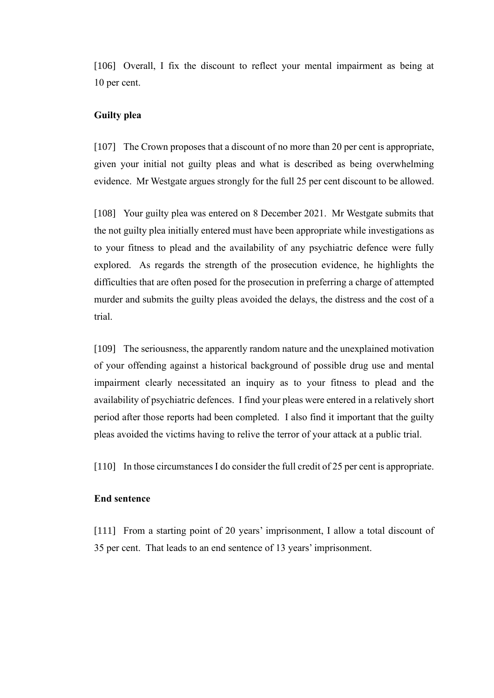[106] Overall, I fix the discount to reflect your mental impairment as being at 10 per cent.

### **Guilty plea**

[107] The Crown proposes that a discount of no more than 20 per cent is appropriate, given your initial not guilty pleas and what is described as being overwhelming evidence. Mr Westgate argues strongly for the full 25 per cent discount to be allowed.

[108] Your guilty plea was entered on 8 December 2021. Mr Westgate submits that the not guilty plea initially entered must have been appropriate while investigations as to your fitness to plead and the availability of any psychiatric defence were fully explored. As regards the strength of the prosecution evidence, he highlights the difficulties that are often posed for the prosecution in preferring a charge of attempted murder and submits the guilty pleas avoided the delays, the distress and the cost of a trial.

[109] The seriousness, the apparently random nature and the unexplained motivation of your offending against a historical background of possible drug use and mental impairment clearly necessitated an inquiry as to your fitness to plead and the availability of psychiatric defences. I find your pleas were entered in a relatively short period after those reports had been completed. I also find it important that the guilty pleas avoided the victims having to relive the terror of your attack at a public trial.

[110] In those circumstances I do consider the full credit of 25 per cent is appropriate.

#### **End sentence**

[111] From a starting point of 20 years' imprisonment, I allow a total discount of 35 per cent. That leads to an end sentence of 13 years' imprisonment.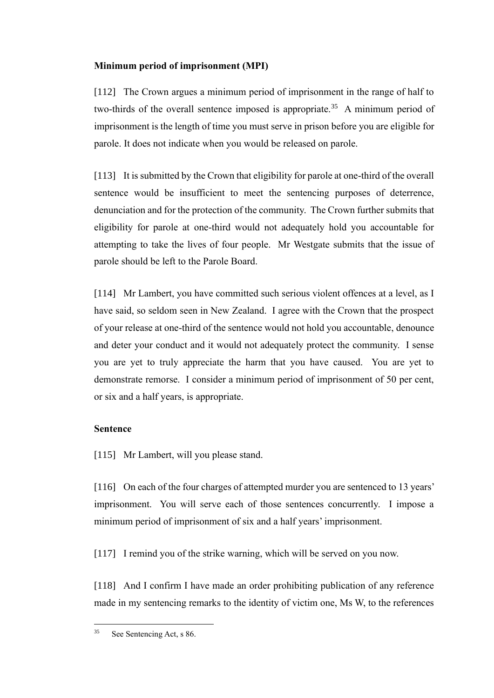# **Minimum period of imprisonment (MPI)**

[112] The Crown argues a minimum period of imprisonment in the range of half to two-thirds of the overall sentence imposed is appropriate.<sup>35</sup> A minimum period of imprisonment is the length of time you must serve in prison before you are eligible for parole. It does not indicate when you would be released on parole.

[113] It is submitted by the Crown that eligibility for parole at one-third of the overall sentence would be insufficient to meet the sentencing purposes of deterrence, denunciation and for the protection of the community. The Crown further submits that eligibility for parole at one-third would not adequately hold you accountable for attempting to take the lives of four people. Mr Westgate submits that the issue of parole should be left to the Parole Board.

[114] Mr Lambert, you have committed such serious violent offences at a level, as I have said, so seldom seen in New Zealand. I agree with the Crown that the prospect of your release at one-third of the sentence would not hold you accountable, denounce and deter your conduct and it would not adequately protect the community. I sense you are yet to truly appreciate the harm that you have caused. You are yet to demonstrate remorse. I consider a minimum period of imprisonment of 50 per cent, or six and a half years, is appropriate.

### **Sentence**

[115] Mr Lambert, will you please stand.

[116] On each of the four charges of attempted murder you are sentenced to 13 years' imprisonment. You will serve each of those sentences concurrently. I impose a minimum period of imprisonment of six and a half years' imprisonment.

[117] I remind you of the strike warning, which will be served on you now.

[118] And I confirm I have made an order prohibiting publication of any reference made in my sentencing remarks to the identity of victim one, Ms W, to the references

<sup>35</sup> See Sentencing Act, s 86.